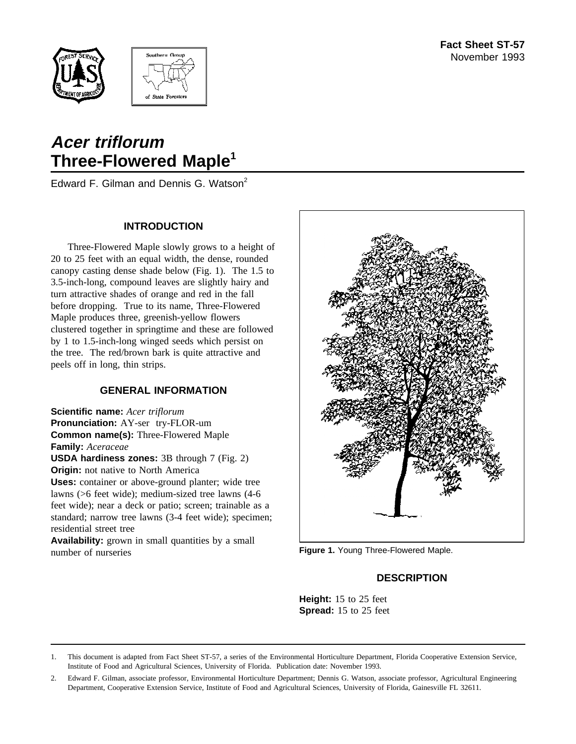



# **Acer triflorum Three-Flowered Maple<sup>1</sup>**

Edward F. Gilman and Dennis G. Watson<sup>2</sup>

## **INTRODUCTION**

Three-Flowered Maple slowly grows to a height of 20 to 25 feet with an equal width, the dense, rounded canopy casting dense shade below (Fig. 1). The 1.5 to 3.5-inch-long, compound leaves are slightly hairy and turn attractive shades of orange and red in the fall before dropping. True to its name, Three-Flowered Maple produces three, greenish-yellow flowers clustered together in springtime and these are followed by 1 to 1.5-inch-long winged seeds which persist on the tree. The red/brown bark is quite attractive and peels off in long, thin strips.

# **GENERAL INFORMATION**

**Scientific name:** *Acer triflorum* **Pronunciation:** AY-ser try-FLOR-um **Common name(s):** Three-Flowered Maple **Family:** *Aceraceae*

**USDA hardiness zones:** 3B through 7 (Fig. 2) **Origin:** not native to North America

**Uses:** container or above-ground planter; wide tree lawns (>6 feet wide); medium-sized tree lawns (4-6 feet wide); near a deck or patio; screen; trainable as a standard; narrow tree lawns (3-4 feet wide); specimen; residential street tree

**Availability:** grown in small quantities by a small number of nurseries



**Figure 1.** Young Three-Flowered Maple.

# **DESCRIPTION**

**Height:** 15 to 25 feet **Spread:** 15 to 25 feet

<sup>1.</sup> This document is adapted from Fact Sheet ST-57, a series of the Environmental Horticulture Department, Florida Cooperative Extension Service, Institute of Food and Agricultural Sciences, University of Florida. Publication date: November 1993.

<sup>2.</sup> Edward F. Gilman, associate professor, Environmental Horticulture Department; Dennis G. Watson, associate professor, Agricultural Engineering Department, Cooperative Extension Service, Institute of Food and Agricultural Sciences, University of Florida, Gainesville FL 32611.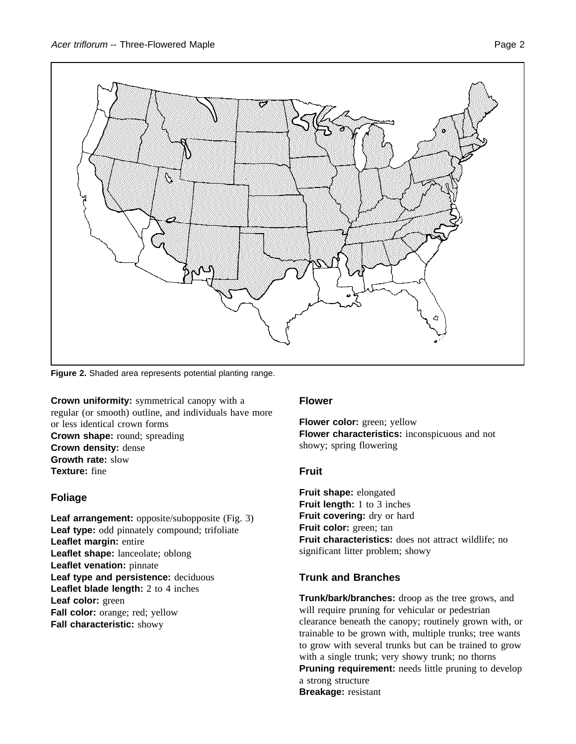

**Figure 2.** Shaded area represents potential planting range.

**Crown uniformity:** symmetrical canopy with a regular (or smooth) outline, and individuals have more or less identical crown forms **Crown shape:** round; spreading **Crown density:** dense **Growth rate:** slow **Texture:** fine

# **Foliage**

**Leaf arrangement:** opposite/subopposite (Fig. 3) **Leaf type:** odd pinnately compound; trifoliate **Leaflet margin:** entire **Leaflet shape:** lanceolate; oblong **Leaflet venation:** pinnate **Leaf type and persistence:** deciduous **Leaflet blade length:** 2 to 4 inches **Leaf color:** green **Fall color:** orange; red; yellow **Fall characteristic:** showy

#### **Flower**

**Flower color:** green; yellow **Flower characteristics:** inconspicuous and not showy; spring flowering

#### **Fruit**

**Fruit shape:** elongated **Fruit length:** 1 to 3 inches Fruit covering: dry or hard **Fruit color:** green; tan **Fruit characteristics:** does not attract wildlife; no significant litter problem; showy

# **Trunk and Branches**

**Trunk/bark/branches:** droop as the tree grows, and will require pruning for vehicular or pedestrian clearance beneath the canopy; routinely grown with, or trainable to be grown with, multiple trunks; tree wants to grow with several trunks but can be trained to grow with a single trunk; very showy trunk; no thorns **Pruning requirement:** needs little pruning to develop a strong structure **Breakage:** resistant